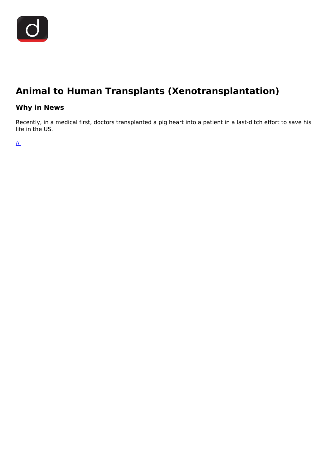

## **Animal to Human Transplants (Xenotransplantation)**

### **Why in News**

Recently, in a medical first, doctors transplanted a pig heart into a patient in a last-ditch effort to save his life in the US.

 $\mathcal{L}$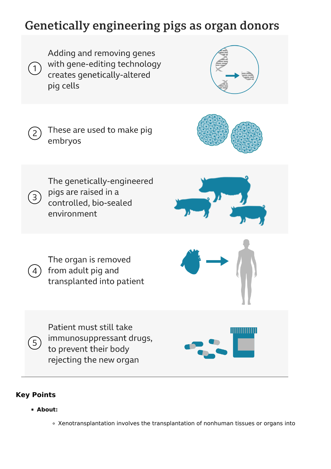# Genetically engineering pigs as organ donors



Adding and removing genes







 $\left( 2\right)$ 

The genetically-engineered pigs are raised in a<br>3 pigs are raised in a<br>controlled bio-sea controlled, bio-sealed environment





Patient must still take immunosuppressant drugs, to prevent their body rejecting the new organ



## **Key Points**

 $5<sub>1</sub>$ 

**About:**

Xenotransplantation involves the transplantation of nonhuman tissues or organs into